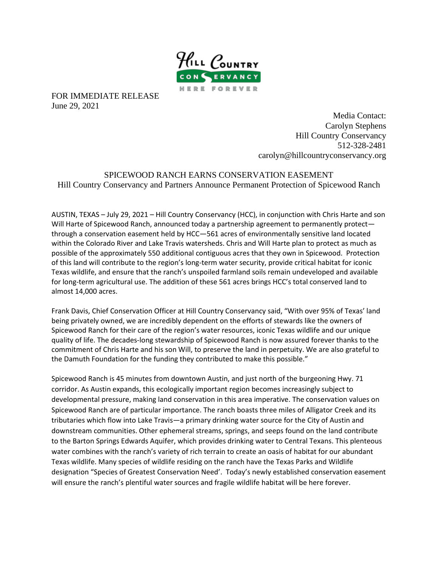

FOR IMMEDIATE RELEASE June 29, 2021

> Media Contact: Carolyn Stephens Hill Country Conservancy 512-328-2481 carolyn@hillcountryconservancy.org

SPICEWOOD RANCH EARNS CONSERVATION EASEMENT Hill Country Conservancy and Partners Announce Permanent Protection of Spicewood Ranch

AUSTIN, TEXAS – July 29, 2021 – Hill Country Conservancy (HCC), in conjunction with Chris Harte and son Will Harte of Spicewood Ranch, announced today a partnership agreement to permanently protect through a conservation easement held by HCC—561 acres of environmentally sensitive land located within the Colorado River and Lake Travis watersheds. Chris and Will Harte plan to protect as much as possible of the approximately 550 additional contiguous acres that they own in Spicewood. Protection of this land will contribute to the region's long-term water security, provide critical habitat for iconic Texas wildlife, and ensure that the ranch's unspoiled farmland soils remain undeveloped and available for long-term agricultural use. The addition of these 561 acres brings HCC's total conserved land to almost 14,000 acres.

Frank Davis, Chief Conservation Officer at Hill Country Conservancy said, "With over 95% of Texas' land being privately owned, we are incredibly dependent on the efforts of stewards like the owners of Spicewood Ranch for their care of the region's water resources, iconic Texas wildlife and our unique quality of life. The decades-long stewardship of Spicewood Ranch is now assured forever thanks to the commitment of Chris Harte and his son Will, to preserve the land in perpetuity. We are also grateful to the Damuth Foundation for the funding they contributed to make this possible."

Spicewood Ranch is 45 minutes from downtown Austin, and just north of the burgeoning Hwy. 71 corridor. As Austin expands, this ecologically important region becomes increasingly subject to developmental pressure, making land conservation in this area imperative. The conservation values on Spicewood Ranch are of particular importance. The ranch boasts three miles of Alligator Creek and its tributaries which flow into Lake Travis—a primary drinking water source for the City of Austin and downstream communities. Other ephemeral streams, springs, and seeps found on the land contribute to the Barton Springs Edwards Aquifer, which provides drinking water to Central Texans. This plenteous water combines with the ranch's variety of rich terrain to create an oasis of habitat for our abundant Texas wildlife. Many species of wildlife residing on the ranch have the Texas Parks and Wildlife designation "Species of Greatest Conservation Need'. Today's newly established conservation easement will ensure the ranch's plentiful water sources and fragile wildlife habitat will be here forever.